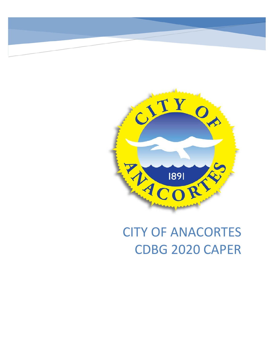

# CITY OF ANACORTES CDBG 2020 CAPER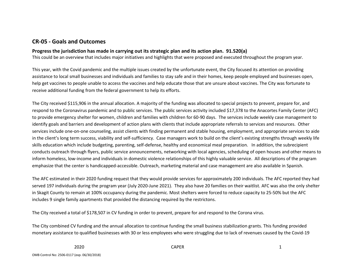# **CR-05 - Goals and Outcomes**

#### **Progress the jurisdiction has made in carrying out its strategic plan and its action plan. 91.520(a)**

This could be an overview that includes major initiatives and highlights that were proposed and executed throughout the program year.

This year, with the Covid pandemic and the multiple issues created by the unfortunate event, the City focused its attention on providing assistance to local small businesses and individuals and families to stay safe and in their homes, keep people employed and businesses open, help get vaccines to people unable to access the vaccines and help educate those that are unsure about vaccines. The City was fortunate to receive additional funding from the federal government to help its efforts.

The City received \$115,906 in the annual allocation. A majority of the funding was allocated to special projects to prevent, prepare for, and respond to the Coronavirus pandemic and to public services. The public services activity included \$17,378 to the Anacortes Family Center (AFC) to provide emergency shelter for women, children and families with children for 60-90 days. The services include weekly case management to identify goals and barriers and development of action plans with clients that include appropriate referrals to services and resources. Other services include one-on-one counseling, assist clients with finding permanent and stable housing, employment, and appropriate services to aide in the client's long term success, viability and self-sufficiency. Case managers work to build on the client's existing strengths through weekly life skills education which include budgeting, parenting, self-defense, healthy and economical meal preparation. In addition, the subrecipient conducts outreach through flyers, public service announcements, networking with local agencies, scheduling of open houses and other means to inform homeless, low-income and individuals in domestic violence relationships of this highly valuable service. All descriptions of the program emphasize that the center is handicapped-accessible. Outreach, marketing material and case management are also available in Spanish.

The AFC estimated in their 2020 funding request that they would provide services for approximately 200 individuals. The AFC reported they had served 197 individuals during the program year (July 2020-June 2021). They also have 20 families on their waitlist. AFC was also the only shelter in Skagit County to remain at 100% occupancy during the pandemic. Most shelters were forced to reduce capacity to 25-50% but the AFC includes 9 single family apartments that provided the distancing required by the restrictons.

The City received a total of \$178,507 in CV funding in order to prevent, prepare for and respond to the Corona virus.

The City combined CV funding and the annual allocation to continue funding the small business stabilization grants. This funding provided monetary assistance to qualified businesses with 30 or less employees who were struggling due to lack of revenues caused by the Covid-19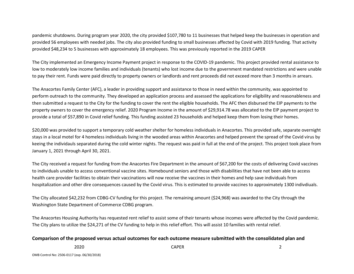pandemic shutdowns. During program year 2020, the city provided \$107,780 to 11 businesses that helped keep the businesses in operation and provided 56 employees with needed jobs. The city also provided funding to small businesses affected by Covid with 2019 funding. That activity provided \$48,234 to 5 businesses with approximately 18 employees. This was previously reported in the 2019 CAPER

The City implemented an Emergency Income Payment project in response to the COVID-19 pandemic. This project provided rental assistance to low to moderately low income families and individuals (tenants) who lost income due to the government mandated restrictions and were unable to pay their rent. Funds were paid directly to property owners or landlords and rent proceeds did not exceed more than 3 months in arrears.

The Anacortes Family Center (AFC), a leader in providing support and assistance to those in need within the community, was appointed to perform outreach to the community. They developed an application process and assessed the applications for eligibility and reasonableness and then submitted a request to the City for the funding to cover the rent the eligible households. The AFC then disbursed the EIP payments to the property owners to cover the emergency relief. 2020 Program Income in the amount of \$29,914.78 was allocated to the EIP payment project to provide a total of \$57,890 in Covid relief funding. This funding assisted 23 households and helped keep them from losing their homes.

\$20,000 was provided to support a temporary cold weather shelter for homeless individuals in Anacortes. This provided safe, separate overnight stays in a local motel for 4 homeless individuals living in the wooded areas within Anacortes and helped prevent the spread of the Covid virus by keeing the individauls separated during the cold winter nights. The request was paid in full at the end of the project. This project took place from January 1, 2021 through April 30, 2021.

The City received a request for funding from the Anacortes Fire Department in the amount of \$67,200 for the costs of delivering Covid vaccines to individuals unable to access conventional vaccine sites. Homebound seniors and those with disabilities that have not been able to access health care provider facilities to obtain their vaccinations will now receive the vaccines in their homes and help save individuals from hospitalization and other dire consequences caused by the Covid virus. This is estimated to provide vaccines to approximately 1300 indivdiuals.

The City allocated \$42,232 from CDBG-CV funding for this project. The remaining amount (\$24,968) was awarded to the City through the Washington State Department of Commerce CDBG program.

The Anacortes Housing Authority has requested rent relief to assist some of their tenants whose incomes were affected by the Covid pandemic. The City plans to utilize the \$24,271 of the CV funding to help in this relief effort. This will assist 10 families with rental relief.

#### **Comparison of the proposed versus actual outcomes for each outcome measure submitted with the consolidated plan and**

2020 CAPER 2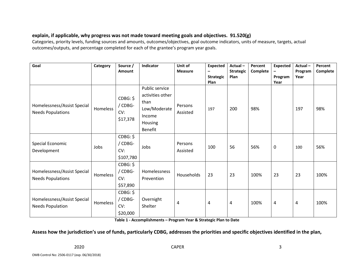# **explain, if applicable, why progress was not made toward meeting goals and objectives. 91.520(g)**

Categories, priority levels, funding sources and amounts, outcomes/objectives, goal outcome indicators, units of measure, targets, actual outcomes/outputs, and percentage completed for each of the grantee's program year goals.

| Goal                                                    | Category        | Source /<br>Amount                      | Indicator                                                                                  | Unit of<br><b>Measure</b> | <b>Expected</b><br>-<br><b>Strategic</b><br>Plan | Actual-<br><b>Strategic</b><br>Plan | Percent<br>Complete | <b>Expected</b><br>Program<br>Year | Actual-<br>Program<br>Year | Percent<br><b>Complete</b> |
|---------------------------------------------------------|-----------------|-----------------------------------------|--------------------------------------------------------------------------------------------|---------------------------|--------------------------------------------------|-------------------------------------|---------------------|------------------------------------|----------------------------|----------------------------|
| Homelessness/Assist Special<br><b>Needs Populations</b> | Homeless        | CDBG: \$<br>/ CDBG-<br>CV:<br>\$17,378  | Public service<br>activities other<br>than<br>Low/Moderate<br>Income<br>Housing<br>Benefit | Persons<br>Assisted       | 197                                              | 200                                 | 98%                 |                                    | 197                        | 98%                        |
| Special Economic<br>Development                         | Jobs            | CDBG: \$<br>/ CDBG-<br>CV:<br>\$107,780 | Jobs                                                                                       | Persons<br>Assisted       | 100                                              | 56                                  | 56%                 | 0                                  | 100                        | 56%                        |
| Homelessness/Assist Special<br><b>Needs Populations</b> | <b>Homeless</b> | CDBG: \$<br>/ CDBG-<br>CV:<br>\$57,890  | Homelessness<br>Prevention                                                                 | Households                | 23                                               | 23                                  | 100%                | 23                                 | 23                         | 100%                       |
| Homelessness/Assist Special<br><b>Needs Population</b>  | Homeless        | CDBG: \$<br>/ CDBG-<br>CV:<br>\$20,000  | Overnight<br>Shelter                                                                       | 4                         | 4                                                | 4                                   | 100%                | 4                                  | 4                          | 100%                       |

**Table 1 - Accomplishments – Program Year & Strategic Plan to Date**

# **Assess how the jurisdiction's use of funds, particularly CDBG, addresses the priorities and specific objectives identified in the plan,**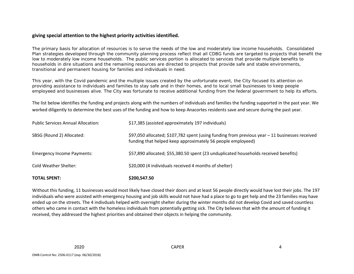#### **giving special attention to the highest priority activities identified.**

The primary basis for allocation of resources is to serve the needs of the low and moderately low income households. Consolidated Plan strategies developed through the community planning process reflect that all CDBG funds are targeted to projects that benefit the low to moderately low income households. The public services portion is allocated to services that provide multiple benefits to households in dire situations and the remaining resources are directed to projects that provide safe and stable environments, transitional and permanent housing for families and individuals in need.

This year, with the Covid pandemic and the multiple issues created by the unfortunate event, the City focused its attention on providing assistance to individuals and families to stay safe and in their homes, and to local small businesses to keep people employeed and businesses alive. The City was fortunate to receive additional funding from the federal government to help its efforts.

The list below identifies the funding and projects along with the numbers of individuals and families the funding supported in the past year. We worked diligently to determine the best uses of the funding and how to keep Anacortes residents save and secure during the past year.

| <b>TOTAL SPENT:</b>                       | \$200,547.50                                                                                                                                                   |
|-------------------------------------------|----------------------------------------------------------------------------------------------------------------------------------------------------------------|
| Cold Weather Shelter:                     | \$20,000 (4 individuals received 4 months of shelter)                                                                                                          |
| <b>Emergency Income Payments:</b>         | \$57,890 allocated; \$55,380.50 spent (23 unduplicated households received benefits)                                                                           |
| SBSG (Round 2) Allocated:                 | \$97,050 allocated; \$107,782 spent (using funding from previous year $-11$ businesses received<br>funding that helped keep approximately 56 people employeed) |
| <b>Public Services Annual Allocation:</b> | \$17,385 (assisted approximately 197 individuals)                                                                                                              |

Without this funding, 11 businesses would most likely have closed their doors and at least 56 people directly would have lost their jobs. The 197 individuals who were assisted with emergency housing and job skills would not have had a place to go to get help and the 23 families may have ended up on the streets. The 4 indivduals helped with overnight shelter during the winter months did not develop Covid and saved countless others who came in contact with the homeless individuals from potentially getting sick. The City believes that with the amount of funding it received, they addressed the highest priorities and obtained their objects in helping the community.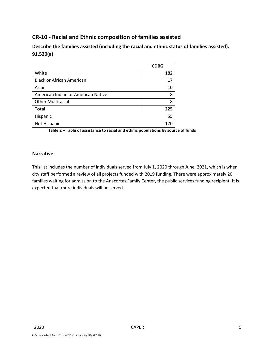# **CR-10 - Racial and Ethnic composition of families assisted**

**Describe the families assisted (including the racial and ethnic status of families assisted). 91.520(a)** 

|                                    | <b>CDBG</b> |
|------------------------------------|-------------|
| White                              | 182         |
| <b>Black or African American</b>   | 17          |
| Asian                              | 10          |
| American Indian or American Native | 8           |
| <b>Other Multiracial</b>           | 8           |
| <b>Total</b>                       | 225         |
| Hispanic                           | 55          |
| Not Hispanic                       | 170         |

**Table 2 – Table of assistance to racial and ethnic populations by source of funds**

#### **Narrative**

This list includes the number of individuals served from July 1, 2020 through June, 2021, which is when city staff performed a review of all projects funded with 2019 funding. There were approximately 20 families waiting for admission to the Anacortes Family Center, the public services funding recipient. It is expected that more individuals will be served.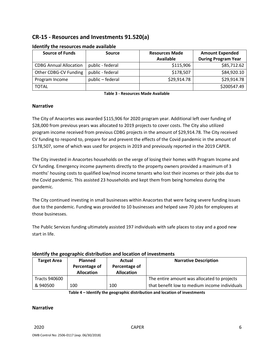# **CR-15 - Resources and Investments 91.520(a)**

| <b>Source of Funds</b>        | Source           | <b>Resources Made</b> | <b>Amount Expended</b>     |  |
|-------------------------------|------------------|-----------------------|----------------------------|--|
|                               |                  | <b>Available</b>      | <b>During Program Year</b> |  |
| <b>CDBG Annual Allocation</b> | public - federal | \$115,906             | \$85,712.62                |  |
| Other CDBG-CV Funding         | public - federal | \$178,507             | \$84,920.10                |  |
| Program Income                | public - federal | \$29,914.78           | \$29,914.78                |  |
| <b>TOTAL</b>                  |                  |                       | \$200547.49                |  |

#### **Identify the resources made available**

**Table 3 - Resources Made Available**

#### **Narrative**

The City of Anacortes was awarded \$115,906 for 2020 program year. Additional left over funding of \$28,000 from previous years was allocated to 2019 projects to cover costs. The City also utilized program income received from previous CDBG projects in the amount of \$29,914.78. The City received CV funding to respond to, prepare for and prevent the effects of the Covid pandemic in the amount of \$178,507, some of which was used for projects in 2019 and previously reported in the 2019 CAPER.

The City invested in Anacortes households on the verge of losing their homes with Program Income and CV funding. Emergency income payments directly to the property owners provided a maximum of 3 months' housing costs to qualified low/mod income tenants who lost their incomes or their jobs due to the Covid pandemic. This assisted 23 households and kept them from being homeless during the pandemic.

The City continued investing in small businesses within Anacortes that were facing severe funding issues due to the pandemic. Funding was provided to 10 businesses and helped save 70 jobs for employees at those businesses.

The Public Services funding ultimately assisted 197 individuals with safe places to stay and a good new start in life.

#### **Identify the geographic distribution and location of investments**

| <b>Target Area</b>   | <b>Planned</b><br>Percentage of<br><b>Allocation</b> | Actual<br>Percentage of<br><b>Allocation</b> | <b>Narrative Description</b>                  |
|----------------------|------------------------------------------------------|----------------------------------------------|-----------------------------------------------|
| <b>Tracts 940600</b> |                                                      |                                              | The entire amount was allocated to projects   |
| & 940500             | 100                                                  | 100                                          | that benefit low to medium income individuals |

**Table 4 – Identify the geographic distribution and location of investments**

#### **Narrative**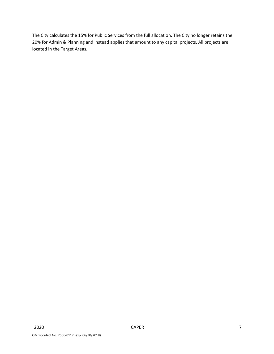The City calculates the 15% for Public Services from the full allocation. The City no longer retains the 20% for Admin & Planning and instead applies that amount to any capital projects. All projects are located in the Target Areas.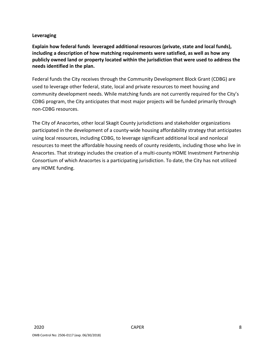# **Leveraging**

**Explain how federal funds leveraged additional resources (private, state and local funds), including a description of how matching requirements were satisfied, as well as how any publicly owned land or property located within the jurisdiction that were used to address the needs identified in the plan.**

Federal funds the City receives through the Community Development Block Grant (CDBG) are used to leverage other federal, state, local and private resources to meet housing and community development needs. While matching funds are not currently required for the City's CDBG program, the City anticipates that most major projects will be funded primarily through non-CDBG resources.

The City of Anacortes, other local Skagit County jurisdictions and stakeholder organizations participated in the development of a county-wide housing affordability strategy that anticipates using local resources, including CDBG, to leverage significant additional local and nonlocal resources to meet the affordable housing needs of county residents, including those who live in Anacortes. That strategy includes the creation of a multi-county HOME Investment Partnership Consortium of which Anacortes is a participating jurisdiction. To date, the City has not utilized any HOME funding.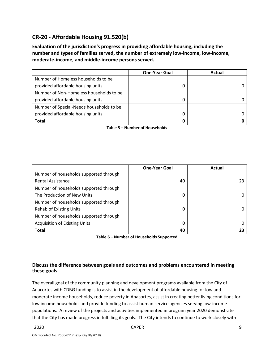# **CR-20 - Affordable Housing 91.520(b)**

**Evaluation of the jurisdiction's progress in providing affordable housing, including the number and types of families served, the number of extremely low-income, low-income, moderate-income, and middle-income persons served.**

|                                          | <b>One-Year Goal</b> | Actual |
|------------------------------------------|----------------------|--------|
| Number of Homeless households to be      |                      |        |
| provided affordable housing units        |                      |        |
| Number of Non-Homeless households to be  |                      |        |
| provided affordable housing units        | 0                    |        |
| Number of Special-Needs households to be |                      |        |
| provided affordable housing units        |                      |        |
| <b>Total</b>                             |                      |        |

**Table 5 – Number of Households**

|                                        | <b>One-Year Goal</b> | Actual |
|----------------------------------------|----------------------|--------|
| Number of households supported through |                      |        |
| <b>Rental Assistance</b>               | 40                   | 23     |
| Number of households supported through |                      |        |
| The Production of New Units            | 0                    |        |
| Number of households supported through |                      |        |
| <b>Rehab of Existing Units</b>         | 0                    |        |
| Number of households supported through |                      |        |
| <b>Acquisition of Existing Units</b>   | 0                    |        |
| <b>Total</b>                           | 40                   |        |

**Table 6 – Number of Households Supported**

#### **Discuss the difference between goals and outcomes and problems encountered in meeting these goals.**

The overall goal of the community planning and development programs available from the City of Anacortes with CDBG funding is to assist in the development of affordable housing for low and moderate income households, reduce poverty in Anacortes, assist in creating better living conditions for low income households and provide funding to assist human service agencies serving low-income populations. A review of the projects and activities implemented in program year 2020 demonstrate that the City has made progress in fulfilling its goals. The City intends to continue to work closely with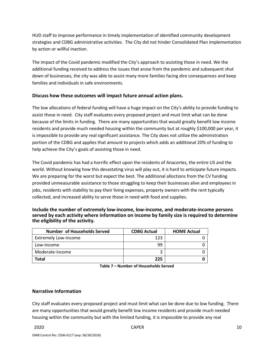HUD staff to improve performance in timely implementation of identified community development strategies and CDBG administrative activities. The City did not hinder Consolidated Plan implementation by action or willful inaction.

The impact of the Covid pandemic modified the City's approach to assisting those in need. We the additional funding received to address the issues that arose from the pandemic and subsequent shut down of businesses, the city was able to assist many more families facing dire consequences and keep families and individuals in safe environments.

#### **Discuss how these outcomes will impact future annual action plans.**

The low allocations of federal funding will have a huge impact on the City's ability to provide funding to assist those in need. City staff evaluates every proposed project and must limit what can be done because of the limits in funding. There are many opportunities that would greatly benefit low income residents and provide much needed housing within the community but at roughly \$100,000 per year, it is impossible to provide any real significant assistance. The City does not utilize the administration portion of the CDBG and applies that amount to projects which adds an additional 20% of funding to help achieve the City's goals of assisting those in need.

The Covid pandemic has had a horrific effect upon the residents of Anacortes, the entire US and the world. Without knowing how this devastating virus will play out, it is hard to anticipate future impacts. We are preparing for the worst but expect the best. The additional alloctions from the CV funding provided unmeasurable assistance to those struggling to keep their businesses alive and employees in jobs, residents with stability to pay their living expenses, property owners with the rent typically collected, and increased ability to serve those in need with food and supplies.

**Include the number of extremely low-income, low-income, and moderate-income persons served by each activity where information on income by family size is required to determine the eligibility of the activity.**

| <b>Number of Households Served</b> | <b>CDBG Actual</b> | <b>HOME Actual</b> |
|------------------------------------|--------------------|--------------------|
| <b>Extremely Low-income</b>        | 123                |                    |
| Low-income                         | 99                 |                    |
| Moderate-income                    |                    |                    |
| Total                              | 225                |                    |

|  | Table 7 – Number of Households Served |
|--|---------------------------------------|
|--|---------------------------------------|

#### **Narrative Information**

City staff evaluates every proposed project and must limit what can be done due to low funding. There are many opportunities that would greatly benefit low income residents and provide much needed housing within the community but with the limited funding, it is impossible to provide any real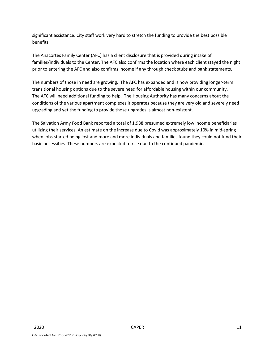significant assistance. City staff work very hard to stretch the funding to provide the best possible benefits.

The Anacortes Family Center (AFC) has a client disclosure that is provided during intake of families/individuals to the Center. The AFC also confirms the location where each client stayed the night prior to entering the AFC and also confirms income if any through check stubs and bank statements.

The numbers of those in need are growing. The AFC has expanded and is now providing longer-term transitional housing options due to the severe need for affordable housing within our community. The AFC will need additional funding to help. The Housing Authority has many concerns about the conditions of the various apartment complexes it operates because they are very old and severely need upgrading and yet the funding to provide those upgrades is almost non-existent.

The Salvation Army Food Bank reported a total of 1,988 presumed extremely low income beneficiaries utilizing their services. An estimate on the increase due to Covid was approximately 10% in mid-spring when jobs started being lost and more and more individuals and families found they could not fund their basic necessities. These numbers are expected to rise due to the continued pandemic.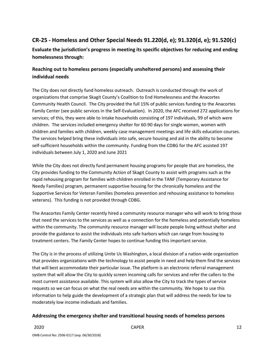# **CR-25 - Homeless and Other Special Needs 91.220(d, e); 91.320(d, e); 91.520(c)**

**Evaluate the jurisdiction's progress in meeting its specific objectives for reducing and ending homelessness through:**

# **Reaching out to homeless persons (especially unsheltered persons) and assessing their individual needs**

The City does not directly fund homeless outreach. Outreach is conducted through the work of organizations that comprise Skagit County's Coalition to End Homelessness and the Anacortes Community Health Council. The City provided the full 15% of public services funding to the Anacortes Family Center (see public services in the Self-Evaluation). In 2020, the AFC received 272 applications for services; of this, they were able to intake households consisting of 197 individuals, 99 of which were children. The services included emergency shelter for 60-90 days for single women, women with children and families with children, weekly case management meetings and life skills education courses. The services helped bring these individuals into safe, secure housing and aid in the ability to become self-sufficient households within the community. Funding from the CDBG for the AFC assisted 197 individuals between July 1, 2020 and June 2021

While the City does not directly fund permanent housing programs for people that are homeless, the City provides funding to the Community Action of Skagit County to assist with programs such as the rapid rehousing program for families with children enrolled in the TANF (Temporary Assistance for Needy Families) program, permanent supportive housing for the chronically homeless and the Supportive Services for Veteran Families (homeless prevention and rehousing assistance to homeless veterans). This funding is not provided through CDBG.

The Anacortes Family Center recently hired a community resource manager who will work to bring those that need the services to the services as well as a connection for the homeless and potentially homeless within the community. The community resource manager will locate people living without shelter and provide the guidance to assist the individuals into safe harbors which can range from housing to treatment centers. The Family Center hopes to continue funding this important service.

The City is in the process of utilizing Unite Us Washington, a local division of a nation-wide organization that provides organizations with the technology to assist people in need and help them find the services that will best accommodate their particular issue. The platform is an electronic referral management system that will allow the City to quickly screen incoming calls for services and refer the callers to the most current assistance available. This system will also allow the City to track the types of service requests so we can focus on what the real needs are within the community. We hope to use this information to help guide the development of a strategic plan that will address the needs for low to moderately low income indivduals and families.

# **Addressing the emergency shelter and transitional housing needs of homeless persons**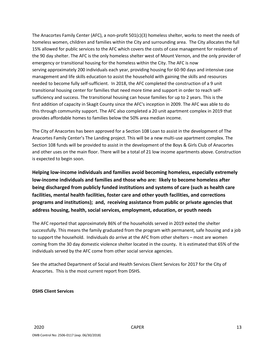The Anacortes Family Center (AFC), a non-profit 501(c)(3) homeless shelter, works to meet the needs of homeless women, children and families within the City and surrounding area. The City allocates the full 15% allowed for public services to the AFC which covers the costs of case management for residents of the 90 day shelter. The AFC is the only homeless shelter west of Mount Vernon, and the only provider of emergency or transitional housing for the homeless within the City. The AFC is now serving approximately 200 individuals each year, providing housing for 60-90 days and intensive case management and life skills education to assist the household with gaining the skills and resources needed to become fully self-sufficient. In 2018, the AFC completed the construction of a 9 unit transitional housing center for families that need more time and support in order to reach selfsufficiency and success. The transitional housing can house families for up to 2 years. This is the first addition of capacity in Skagit County since the AFC's inception in 2009. The AFC was able to do this through community support. The AFC also completed a 20 unit apartment complex in 2019 that provides affordable homes to families below the 50% area median income.

The City of Anacortes has been approved for a Section 108 Loan to assist in the development of The Anacortes Family Center's The Landing project. This will be a new multi-use apartment complex. The Section 108 funds will be provided to assist in the development of the Boys & Girls Club of Anacortes and other uses on the main floor. There will be a total of 21 low income apartments above. Construction is expected to begin soon.

**Helping low-income individuals and families avoid becoming homeless, especially extremely low-income individuals and families and those who are: likely to become homeless after being discharged from publicly funded institutions and systems of care (such as health care facilities, mental health facilities, foster care and other youth facilities, and corrections programs and institutions); and, receiving assistance from public or private agencies that address housing, health, social services, employment, education, or youth needs**

The AFC reported that approximately 86% of the households served in 2019 exited the shelter successfully. This means the family graduated from the program with permanent, safe housing and a job to support the household. Individuals do arrive at the AFC from other shelters – most are women coming from the 30 day domestic violence shelter located in the county**.** It is estimated that 65% of the individuals served by the AFC come from other social service agencies.

See the attached Department of Social and Health Services Client Services for 2017 for the City of Anacortes. This is the most current report from DSHS.

#### **DSHS Client Services**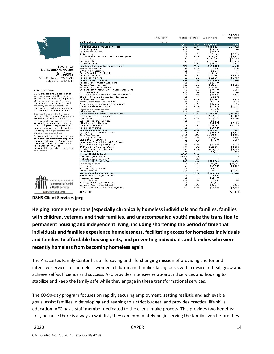

**DSHS Client Services** All Ages

Total Population for Anacortes<br>
IDSHS Total<br>
Aging and Long-Term Support Total<br>
Aging and Long-Term Support Total<br>
Adult Fermily Homes<br>
Assisted Living<br>
Comprehensive Assessments and Case Management<br>
In-Home Services<br>
Nurs  $\begin{array}{r@{\hspace{0.8cm}}l} \textbf{\$5,953,063$} \\ \textbf{\$6,937$} \\ \textbf{\$6,937$} \\ \textbf{\$6,938$} \\ \textbf{\$195,062$} \\ \textbf{\$195,062$} \\ \textbf{\$195,062$} \\ \textbf{\$10,858$} \\ \textbf{\$10,858$} \\ \textbf{\$10,858$} \\ \textbf{\$10,858$} \\ \textbf{\$11,462$} \\ \textbf{\$13,823$} \\ \textbf{\$13,943$} \\ \textbf$  $\begin{array}{c} \texttt{<< 11} \ 11.7739994711114611321 \\ \texttt{<< 11} \ 27.7399447111114611321444122141 \\ \texttt{<< 11} \ 46.113314148225121 \end{array}$  $-1\%$ <br>  $-1\%$ <br>  $-1\%$ <br>  $-1\%$ <br>  $-1\%$  $$1,742$ <br> $$17,300$ <br> $$35,716$ <br> $$122$ <br> $$5,633$ **ANACORTES**  $$14$  $~1\%$ <br> $~1\%$ <br> $~1\%$ <br>3% STATE FISCAL YEAR 2017<br>July 2016 - June 2017  $$9,460$ <br> $$1,040$ Cumureur a services Case Management<br>Adoption Services Case Management<br>Adoption Support Services<br>Behavior Rehabilitation Services<br>Child and Family Welfare Services Case Management<br>Child Care Services (CPS) Case Management<br>D  $$11,499$ <br>  $$145,364$ <br>  $$133,894$ <br>  $$45,799$ <br>  $$20,759$ <br>  $$55,681$ <br>  $*1,392$  $1\%$  $$1,321$  $< 1 \%$ \$996 **ABOUT THE DATA**  $2%$ DSHS provides a very broad array of  $$172$ services to over 2.8 million clients<br>annually, a little more than 40 percent  $$1,302$ <br> $$29,847$ <br> $$2,010$ <br> $$12,316$ <br> $$43,828$  $1\%$  $$728$ Family-Focused Services ramily-rocused Services<br>Family Reconciliation Services (FRS)<br>Family Voluntary Services Case Management<br>Foster Care Placement Services<br>Foster Care Support Services of the state's population. Almost all<br>DSHS services used since 2001, and  $~1\%$ <br>  $~1\%$ <br>  $~1\%$ <br>  $~1\%$  $$72$ <br> $$493$ the costs, are brought together in<br>these reports, which unite inform \$3,652 information  $$7,526$ from all major DSHS data systems. Other Intensive Services<br>Developmental Disability Services Total  $\frac{11}{72}$ 1,155,053≴<br>1,155,053 Each client is counted only once, at<br>each level of aggregation. Expenditures<br>are related to individual services<br>instances and reconciled to the state  $< 1%$  $$16,042$ Employment and Day Programs<br>Field Services  $\frac{26}{38}$  $~1\%$ <br> $~1\%$ \$186,874<br>\$109,599  $$7,187$ <br> $$2,884$ Field Services<br>Individual and Family Services<br>Other Community Services<br>Personal Care Services  $\begin{array}{r} 11 \\ 15 \\ 35 \end{array}$  $$1,041$ <br> $$73,273$ <br> $$725,746$  $~1\%$ <br> $~1\%$ instances and recounting system for quality control.<br>Capital, program management, and<br>administration costs are not included.  $$4,885$ <br> $$20,736$ Presidential Programs<br> **Economic Services Total<br>
Aged, Blind, or Disabled Assistance<br>
Basic Food Program** \$58,520 18%  $$1,021$ Counts by various geographies are<br>based on residence address. 3,097  $$3,162,957$  $12\%$ <br>12% \$50,079  $$1,318$ <br> $$1,092$  $$2,272,899$ 2,082 Service descriptions in the glossary are Child Support Services 1,659 10% \$238,677  $$144$ <br> $$299$ consistent with professional usage and China Support Set wies<br>Theresian Cash Assistance<br>Housing and Essential Needs (HEN) Referral<br>Supplemental Security Income-State<br>TANF and State Family Assistance  $\begin{array}{c} 12 \\ 12 \\ 55 \end{array}$  $1\%$ <br> $1\%$  $$3,583$ the enabling legislation. Change notes<br>flag policy, funding, data system, and  $$23.433$  $$426$  $1\%$ <br> $1\%$ law changes over time, to 154 \$158,976  $$1.032$ accommodate longitudinal analysis and Fank and State Family Assistance<br>Working Connections Child Care<br>Additional Services<br>Medical Eligibility Total<br>Medically Eligible Title 19<br>Medically Eligible Inter Title 19<br>Medically Eligible Intervices Total  $$409,795$ <br> $$5,516$ 164  $1%$  $$2,499$  $$162$ 4,030  $\frac{24\%}{24\%}$  $\frac{188}{268}$  $1\%$ <br>  $2\%$ <br>  $< 1\%$ <br>  $< 1\%$  $$906,264$  $$3,382$ Mental Health Services Total<br>Community Hospital<br>Crisis Services<br>Crisis Services<br>Other Outpetient<br>Other Outpetient<br>Other Outpetient<br>Meading Rehabilitation Total<br>Medical and Psychological Services<br>Support Services<br>Toming, Ed  $$213,656$ <br> $$71,987$ <br> $$4,241$ <br> $$616,379$  $14$ <br>  $65$ <br>  $48$ <br>  $40$ <br>  $41$ <br>  $41$ <br>  $41$ <br>  $26$ <br>  $40$  $$1,107$  $\frac{1\%}{1\%}$ .485  $$616,379  
\n$104,738  
\n$894  
\n$21,470  
\n$1,492  
\n$8,632  
\n$22,394  
\n$49,855$  $$2,618$  $\mathbb{Z}^2$ tt. Washington State Department of Social  $~1\%$ <br><1%  $\begin{array}{c} 1861 \\ 1,246 \end{array}$ & Health Services **Transforming lives** 11/16/2020 Page 1 of 2

Population

 $16.700$ 

**DSHS Client Services jpeg**

comparisons.

**Helping homeless persons (especially chronically homeless individuals and families, families with children, veterans and their families, and unaccompanied youth) make the transition to permanent housing and independent living, including shortening the period of time that individuals and families experience homelessness, facilitating access for homeless individuals and families to affordable housing units, and preventing individuals and families who were recently homeless from becoming homeless again**

The Anacortes Family Center has a life-saving and life-changing mission of providing shelter and intensive services for homeless women, children and families facing crisis with a desire to heal, grow and achieve self-sufficiency and success. AFC provides intensive wrap-around services and housing to stabilize and keep the family safe while they engage in these transformational services.

The 60-90-day program focuses on rapidly securing employment, setting realistic and achievable goals, assist families in developing and keeping to a strict budget, and provides practical life skills education. AFC has a staff member dedicated to the client intake process. This provides two benefits: first, because there is always a wait list, they can immediately begin serving the family even before they

Expenditures

Per Client

 $$2,026$ <br> $$24,862$ 

 $$9,319$ <br> $$1.742$ 

Expenditures

 $$10,494,366$ <br> $$3,953,063$ 

Clients Use Rate

 $5179$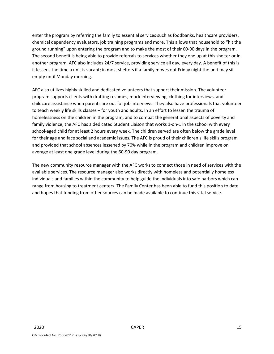enter the program by referring the family to essential services such as foodbanks, healthcare providers, chemical dependency evaluators, job training programs and more. This allows that household to "hit the ground running" upon entering the program and to make the most of their 60-90 days in the program. The second benefit is being able to provide referrals to services whether they end up at this shelter or in another program. AFC also includes 24/7 service, providing service all day, every day. A benefit of this is it lessens the time a unit is vacant; in most shelters if a family moves out Friday night the unit may sit empty until Monday morning.

AFC also utilizes highly skilled and dedicated volunteers that support their mission. The volunteer program supports clients with drafting resumes, mock interviewing, clothing for interviews, and childcare assistance when parents are out for job interviews. They also have professionals that volunteer to teach weekly life skills classes – for youth and adults. In an effort to lessen the trauma of homelessness on the children in the program, and to combat the generational aspects of poverty and family violence, the AFC has a dedicated Student Liaison that works 1-on-1 in the school with every school-aged child for at least 2 hours every week. The children served are often below the grade level for their age and face social and academic issues. The AFC is proud of their children's life skills program and provided that school absences lessened by 70% while in the program and children improve on average at least one grade level during the 60-90 day program.

The new community resource manager with the AFC works to connect those in need of services with the available services. The resource manager also works directly with homeless and potentially homeless individuals and families within the community to help guide the individuals into safe harbors which can range from housing to treatment centers. The Family Center has been able to fund this position to date and hopes that funding from other sources can be made available to continue this vital service.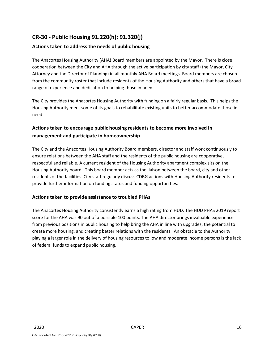# **CR-30 - Public Housing 91.220(h); 91.320(j)**

# **Actions taken to address the needs of public housing**

The Anacortes Housing Authority (AHA) Board members are appointed by the Mayor. There is close cooperation between the City and AHA through the active participation by city staff (the Mayor, City Attorney and the Director of Planning) in all monthly AHA Board meetings. Board members are chosen from the community roster that include residents of the Housing Authority and others that have a broad range of experience and dedication to helping those in need.

The City provides the Anacortes Housing Authority with funding on a fairly regular basis. This helps the Housing Authority meet some of its goals to rehabilitate existing units to better accommodate those in need.

# **Actions taken to encourage public housing residents to become more involved in management and participate in homeownership**

The City and the Anacortes Housing Authority Board members, director and staff work continuously to ensure relations between the AHA staff and the residents of the public housing are cooperative, respectful and reliable. A current resident of the Housing Authority apartment complex sits on the Housing Authority board. This board member acts as the liaison between the board, city and other residents of the facilities. City staff regularly discuss CDBG actions with Housing Authority residents to provide further information on funding status and funding opportunities.

# **Actions taken to provide assistance to troubled PHAs**

The Anacortes Housing Authority consistently earns a high rating from HUD. The HUD PHAS 2019 report score for the AHA was 90 out of a possible 100 points. The AHA director brings invaluable experience from previous positions in public housing to help bring the AHA in line with upgrades, the potential to create more housing, and creating better relations with the residents. An obstacle to the Authority playing a larger role in the delivery of housing resources to low and moderate income persons is the lack of federal funds to expand public housing.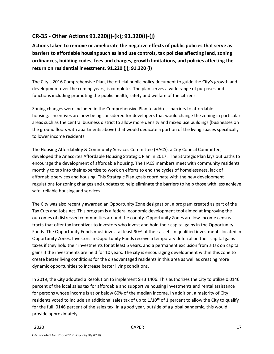# **CR-35 - Other Actions 91.220(j)-(k); 91.320(i)-(j)**

**Actions taken to remove or ameliorate the negative effects of public policies that serve as barriers to affordable housing such as land use controls, tax policies affecting land, zoning ordinances, building codes, fees and charges, growth limitations, and policies affecting the return on residential investment. 91.220 (j); 91.320 (i)**

The City's 2016 Comprehensive Plan, the official public policy document to guide the City's growth and development over the coming years, is complete. The plan serves a wide range of purposes and functions including promoting the public health, safety and welfare of the citizens.

Zoning changes were included in the Comprehensive Plan to address barriers to affordable housing. Incentives are now being considered for developers that would change the zoning in particular areas such as the central business district to allow more density and mixed use buildings (businesses on the ground floors with apartments above) that would dedicate a portion of the living spaces specifically to lower income residents.

The Housing Affordability & Community Services Committee (HACS), a City Council Committee, developed the Anacortes Affordable Housing Strategic Plan in 2017. The Strategic Plan lays out paths to encourage the development of affordable housing. The HACS members meet with community residents monthly to tap into their expertise to work on efforts to end the cycles of homelessness, lack of affordable services and housing. This Strategic Plan goals coordinate with the new development regulations for zoning changes and updates to help eliminate the barriers to help those with less achieve safe, reliable housing and services.

The City was also recently awarded an Opportunity Zone designation, a program created as part of the Tax Cuts and Jobs Act. This program is a federal economic development tool aimed at improving the outcomes of distressed communities around the county. Opportunity Zones are low-income census tracts that offer tax incentives to investors who invest and hold their capital gains in the Opportunity Funds. The Opportunity Funds must invest at least 90% of their assets in qualified investments located in Opportunity Zones. Investors in Opportunity Funds receive a temporary deferral on their capital gains taxes if they hold their investments for at least 5 years, and a permanent exclusion from a tax on capital gains if the investments are held for 10 years. The city is encouraging development within this zone to create better living conditions for the disadvantaged residents in this area as well as creating more dynamic opportunities to increase better living conditions.

In 2019, the City adopted a Resolution to implement SHB 1406. This authorizes the City to utilize 0.0146 percent of the local sales tax for affordable and supportive housing investments and rental assistance for persons whose income is at or below 60% of the median income. In addition, a majority of City residents voted to include an additional sales tax of up to  $1/10<sup>th</sup>$  of 1 percent to allow the City to qualify for the full .0146 percent of the sales tax. In a good year, outside of a global pandemic, this would provide approximately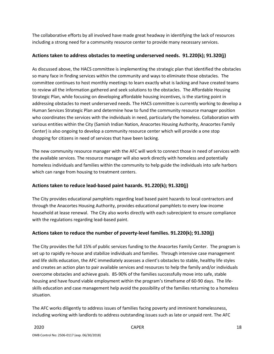The collaborative efforts by all involved have made great headway in identifying the lack of resources including a strong need for a community resource center to provide many necessary services.

#### **Actions taken to address obstacles to meeting underserved needs. 91.220(k); 91.320(j)**

As discussed above, the HACS committee is implementing the strategic plan that identified the obstacles so many face in finding services within the community and ways to eliminate those obstacles. The committee continues to host monthly meetings to learn exactly what is lacking and have created teams to review all the information gathered and seek solutions to the obstacles. The Affordable Housing Strategic Plan, while focusing on developing affordable housing incentives, is the starting point in addressing obstacles to meet underserved needs. The HACS committee is currently working to develop a Human Services Strategic Plan and determine how to fund the community resource manager position who coordinates the services with the individuals in need, particularly the homeless. Collaboration with various entities within the City (Samish Indian Nation, Anacortes Housing Authority, Anacortes Family Center) is also ongoing to develop a community resource center which will provide a one stop shopping for citizens in need of services that have been lacking.

The new community resource manager with the AFC will work to connect those in need of services with the available services. The resource manager will also work directly with homeless and potentially homeless individuals and families within the community to help guide the individuals into safe harbors which can range from housing to treatment centers.

# **Actions taken to reduce lead-based paint hazards. 91.220(k); 91.320(j)**

The City provides educational pamphlets regarding lead based paint hazards to local contractors and through the Anacortes Housing Authority, provides educational pamphlets to every low-income household at lease renewal. The City also works directly with each subrecipient to ensure compliance with the regulations regarding lead-based paint.

# **Actions taken to reduce the number of poverty-level families. 91.220(k); 91.320(j)**

The City provides the full 15% of public services funding to the Anacortes Family Center. The program is set up to rapidly re-house and stabilize individuals and families. Through intensive case management and life skills education, the AFC immediately assesses a client's obstacles to stable, healthy life styles and creates an action plan to pair available services and resources to help the family and/or individuals overcome obstacles and achieve goals. 85-90% of the families successfully move into safe, stable housing and have found viable employment within the program's timeframe of 60-90 days. The lifeskills education and case management help avoid the possibility of the families returning to a homeless situation.

The AFC works diligently to address issues of families facing poverty and imminent homelessness, including working with landlords to address outstanding issues such as late or unpaid rent. The AFC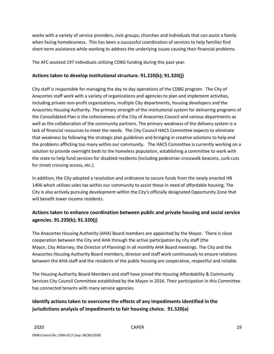works with a variety of service providers, civic groups, churches and individuals that can assist a family when facing homelessness. This has been a successful coordination of services to help families find short-term assistance while working to address the underlying issues causing their financial problems.

The AFC assisted 197 individuals utilizing CDBG funding during this past year.

# **Actions taken to develop institutional structure. 91.220(k); 91.320(j)**

City staff is responsible for managing the day to day operations of the CDBG program. The City of Anacortes staff work with a variety of organizations and agencies to plan and implement activities, including private non-profit organizations, multiple City departments, housing developers and the Anacortes Housing Authority. The primary strength of the institutional system for delivering programs of the Consolidated Plan is the cohesiveness of the City of Anacortes Council and various departments as well as the collaboration of the community partners. The primary weakness of the delivery system is a lack of financial resources to meet the needs. The City Council HACS Committee expects to eliminate that weakness by following the strategic plan guidelines and bringing in creative solutions to help end the problems afflicting too many within our community. The HACS Committee is currently working on a solution to provide overnight beds to the homeless population, establishing a committee to work with the state to help fund services for disabled residents (including pedestrian crosswalk beacons, curb cuts for street crossing access, etc.).

In addition, the City adopted a resolution and ordinance to secure funds from the newly enacted HB 1406 which utilizes sales tax within our community to assist those in need of affordable housing. The City is also actively pursuing development within the City's officially designated Opportunity Zone that will benefit lower income residents.

# **Actions taken to enhance coordination between public and private housing and social service agencies. 91.220(k); 91.320(j)**

The Anacortes Housing Authority (AHA) Board members are appointed by the Mayor. There is close cooperation between the City and AHA through the active participation by city staff (the Mayor, City Attorney, the Director of Planning) in all monthly AHA Board meetings. The City and the Anacortes Housing Authority Board members, director and staff work continuously to ensure relations between the AHA staff and the residents of the public housing are cooperative, respectful and reliable.

The Housing Authority Board Members and staff have joined the Housing Affordability & Community Services City Council Committee established by the Mayor in 2016. Their participation in this Committee has connected tenants with many service agencies.

# **Identify actions taken to overcome the effects of any impediments identified in the jurisdictions analysis of impediments to fair housing choice. 91.520(a)**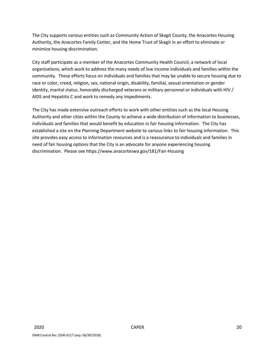The City supports various entities such as Community Action of Skagit County, the Anacortes Housing Authority, the Anacortes Family Center, and the Home Trust of Skagit in an effort to eliminate or minimize housing discrimination.

City staff participate as a member of the Anacortes Community Health Council, a network of local organizations, which work to address the many needs of low income individuals and families within the community. These efforts focus on individuals and families that may be unable to secure housing due to race or color, creed, religion, sex, national origin, disability, familial, sexual orientation or gender identity, marital status, honorably discharged veterans or military personnel or individuals with HIV / AIDS and Hepatitis C and work to remedy any impediments.

The City has made extensive outreach efforts to work with other entities such as the local Housing Authority and other cities within the County to achieve a wide distribution of information to businesses, individuals and families that would benefit by education in fair housing information. The City has established a site on the Planning Department website to various links to fair housing information. This site provides easy access to information resources and is a reassurance to individuals and families in need of fair housing options that the City is an advocate for anyone experiencing housing discrimination. Please see https://www.anacorteswa.gov/181/Fair-Housing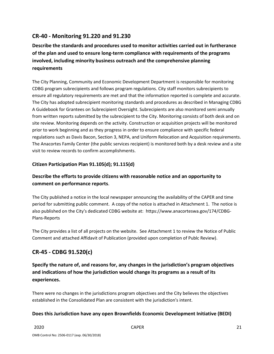# **CR-40 - Monitoring 91.220 and 91.230**

**Describe the standards and procedures used to monitor activities carried out in furtherance of the plan and used to ensure long-term compliance with requirements of the programs involved, including minority business outreach and the comprehensive planning requirements**

The City Planning, Community and Economic Development Department is responsible for monitoring CDBG program subrecipients and follows program regulations. City staff monitors subrecipients to ensure all regulatory requirements are met and that the information reported is complete and accurate. The City has adopted subrecipient monitoring standards and procedures as described in Managing CDBG A Guidebook for Grantees on Subrecipient Oversight. Subrecipients are also monitored semi annually from written reports submitted by the subrecipient to the City. Monitoring consists of both desk and on site review. Monitoring depends on the activity. Construction or acquisition projects will be monitored prior to work beginning and as they progress in order to ensure compliance with specific federal regulations such as Davis Bacon, Section 3, NEPA, and Uniform Relocation and Acquisition requirements. The Anacortes Family Center (the public services recipient) is monitored both by a desk review and a site visit to review records to confirm accomplishments.

# **Citizen Participation Plan 91.105(d); 91.115(d)**

# **Describe the efforts to provide citizens with reasonable notice and an opportunity to comment on performance reports**.

The City published a notice in the local newspaper announcing the availability of the CAPER and time period for submitting public comment. A copy of the notice is attached in Attachment 1. The notice is also published on the City's dedicated CDBG website at: https://www.anacorteswa.gov/174/CDBG-Plans-Reports

The City provides a list of all projects on the website. See Attachment 1 to review the Notice of Public Comment and attached Affidavit of Publication (provided upon completion of Publc Review).

# **CR-45 - CDBG 91.520(c)**

**Specify the nature of, and reasons for, any changes in the jurisdiction's program objectives and indications of how the jurisdiction would change its programs as a result of its experiences.**

There were no changes in the jurisdictions program objectives and the City believes the objectives established in the Consolidated Plan are consistent with the jurisdiction's intent.

# **Does this Jurisdiction have any open Brownfields Economic Development Initiative (BEDI)**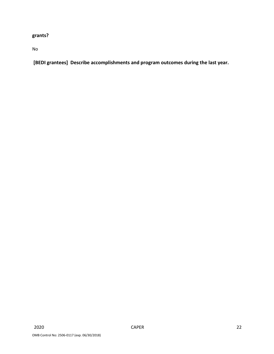# **grants?**

No

**[BEDI grantees] Describe accomplishments and program outcomes during the last year.**